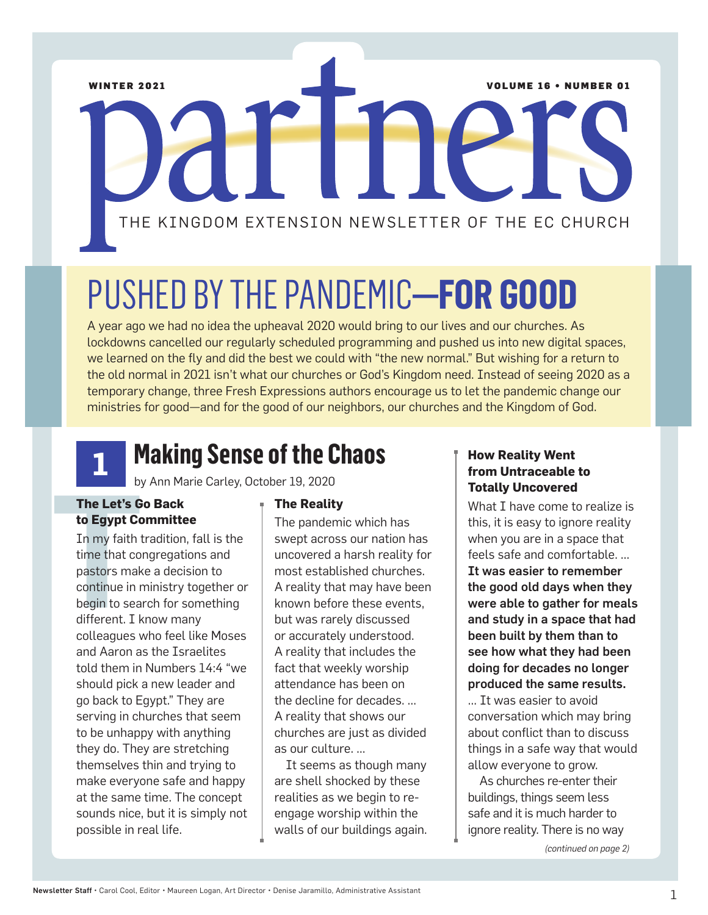WINTER 2021 **VOLUME 16 • NUMBER 01** 

# THE KINGDOM EXTENSION NEWSLETTER OF THE EC CHURCH

## PUSHED BY THE PANDEMIC**—FOR GOOD**

A year ago we had no idea the upheaval 2020 would bring to our lives and our churches. As lockdowns cancelled our regularly scheduled programming and pushed us into new digital spaces, we learned on the fly and did the best we could with "the new normal." But wishing for a return to the old normal in 2021 isn't what our churches or God's Kingdom need. Instead of seeing 2020 as a temporary change, three Fresh Expressions authors encourage us to let the pandemic change our ministries for good—and for the good of our neighbors, our churches and the Kingdom of God.



### **Making Sense of the Chaos**

by Ann Marie Carley, October 19, 2020

#### **The Let's Go Back to Egypt Committee**

by<br>
The Let's G<br>
to Egypt Co<br>
In my faith t<br>
time that co<br>
pastors mak<br>
continue in r<br>
begin to sea<br>
different. I k<br>
colloggues w In my faith tradition, fall is the time that congregations and pastors make a decision to continue in ministry together or begin to search for something different. I know many colleagues who feel like Moses and Aaron as the Israelites told them in Numbers 14:4 "we should pick a new leader and go back to Egypt." They are serving in churches that seem to be unhappy with anything they do. They are stretching themselves thin and trying to make everyone safe and happy at the same time. The concept sounds nice, but it is simply not possible in real life.

#### **The Reality**

The pandemic which has swept across our nation has uncovered a harsh reality for most established churches. A reality that may have been known before these events, but was rarely discussed or accurately understood. A reality that includes the fact that weekly worship attendance has been on the decline for decades. … A reality that shows our churches are just as divided as our culture. …

It seems as though many are shell shocked by these realities as we begin to reengage worship within the walls of our buildings again.

#### **How Reality Went from Untraceable to Totally Uncovered**

What I have come to realize is this, it is easy to ignore reality when you are in a space that feels safe and comfortable. … It was easier to remember

the good old days when they were able to gather for meals and study in a space that had been built by them than to see how what they had been doing for decades no longer produced the same results. … It was easier to avoid conversation which may bring about conflict than to discuss

things in a safe way that would allow everyone to grow. As churches re-enter their buildings, things seem less

safe and it is much harder to ignore reality. There is no way

*(continued on page 2)*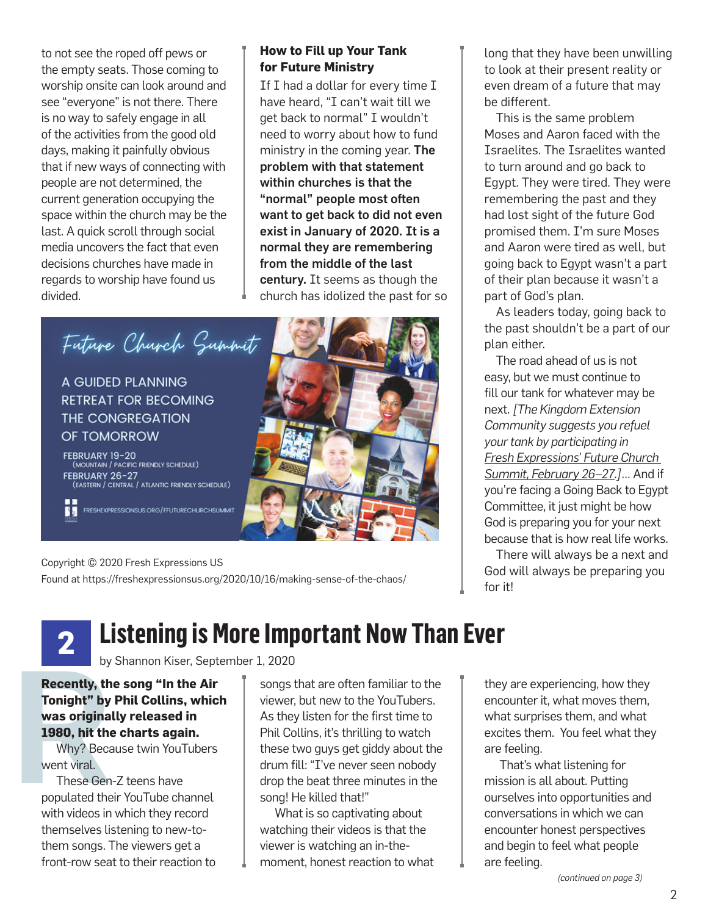to not see the roped off pews or the empty seats. Those coming to worship onsite can look around and see "everyone" is not there. There is no way to safely engage in all of the activities from the good old days, making it painfully obvious that if new ways of connecting with people are not determined, the current generation occupying the space within the church may be the last. A quick scroll through social media uncovers the fact that even decisions churches have made in regards to worship have found us divided.

#### **How to Fill up Your Tank for Future Ministry**

If I had a dollar for every time I have heard, "I can't wait till we get back to normal" I wouldn't need to worry about how to fund ministry in the coming year. The problem with that statement within churches is that the "normal" people most often want to get back to did not even exist in January of 2020. It is a normal they are remembering from the middle of the last century. It seems as though the church has idolized the past for so



Copyright © 2020 Fresh Expressions US Found at https://freshexpressionsus.org/2020/10/16/making-sense-of-the-chaos/ long that they have been unwilling to look at their present reality or even dream of a future that may be different.

This is the same problem Moses and Aaron faced with the Israelites. The Israelites wanted to turn around and go back to Egypt. They were tired. They were remembering the past and they had lost sight of the future God promised them. I'm sure Moses and Aaron were tired as well, but going back to Egypt wasn't a part of their plan because it wasn't a part of God's plan.

As leaders today, going back to the past shouldn't be a part of our plan either.

The road ahead of us is not easy, but we must continue to fill our tank for whatever may be next. *[The Kingdom Extension Community suggests you refuel your tank by participating in Fresh Expressions' Future Church Summit, February 26–27.]*… And if you're facing a Going Back to Egypt Committee, it just might be how God is preparing you for your next because that is how real life works.

There will always be a next and God will always be preparing you for it!

#### **Listening is More Important Now Than Ever 2**

by Shannon Kiser, September 1, 2020

by<br>
Recently, th<br>
Tonight" by<br>
was original<br>
1980, hit the<br>
Why? Beca<br>
went viral.<br>
These Gen<br>
populated the **Recently, the song "In the Air Tonight" by Phil Collins, which was originally released in 1980, hit the charts again.**

Why? Because twin YouTubers went viral.

These Gen-Z teens have populated their YouTube channel with videos in which they record themselves listening to new-tothem songs. The viewers get a front-row seat to their reaction to songs that are often familiar to the viewer, but new to the YouTubers. As they listen for the first time to Phil Collins, it's thrilling to watch these two guys get giddy about the drum fill: "I've never seen nobody drop the beat three minutes in the song! He killed that!"

What is so captivating about watching their videos is that the viewer is watching an in-themoment, honest reaction to what

they are experiencing, how they encounter it, what moves them, what surprises them, and what excites them. You feel what they are feeling.

That's what listening for mission is all about. Putting ourselves into opportunities and conversations in which we can encounter honest perspectives and begin to feel what people are feeling.

*(continued on page 3)*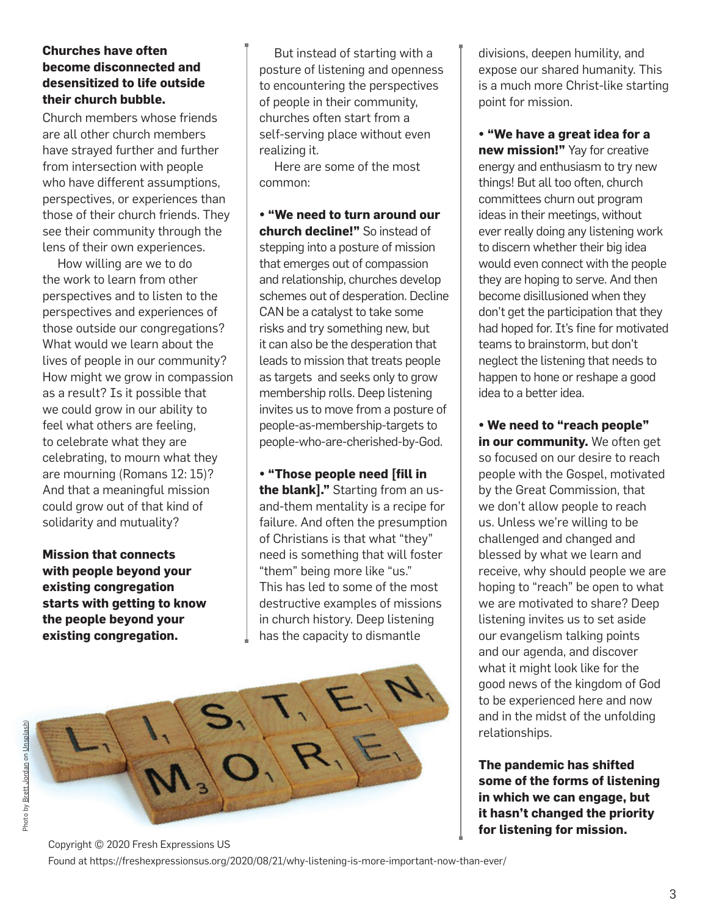#### **Churches have often become disconnected and desensitized to life outside their church bubble.**

Church members whose friends are all other church members have strayed further and further from intersection with people who have different assumptions, perspectives, or experiences than those of their church friends. They see their community through the lens of their own experiences.

How willing are we to do the work to learn from other perspectives and to listen to the perspectives and experiences of those outside our congregations? What would we learn about the lives of people in our community? How might we grow in compassion as a result? Is it possible that we could grow in our ability to feel what others are feeling, to celebrate what they are celebrating, to mourn what they are mourning (Romans 12: 15)? And that a meaningful mission could grow out of that kind of solidarity and mutuality?

**Mission that connects with people beyond your existing congregation starts with getting to know the people beyond your existing congregation.** 

But instead of starting with a posture of listening and openness to encountering the perspectives of people in their community, churches often start from a self-serving place without even realizing it.

Here are some of the most common:

**• "We need to turn around our church decline!"** So instead of stepping into a posture of mission that emerges out of compassion and relationship, churches develop schemes out of desperation. Decline CAN be a catalyst to take some risks and try something new, but it can also be the desperation that leads to mission that treats people as targets and seeks only to grow membership rolls. Deep listening invites us to move from a posture of people-as-membership-targets to people-who-are-cherished-by-God.

**• "Those people need [fill in the blank]."** Starting from an usand-them mentality is a recipe for failure. And often the presumption of Christians is that what "they" need is something that will foster "them" being more like "us." This has led to some of the most destructive examples of missions in church history. Deep listening has the capacity to dismantle



divisions, deepen humility, and expose our shared humanity. This is a much more Christ-like starting point for mission.

**• "We have a great idea for a new mission!"** Yay for creative energy and enthusiasm to try new things! But all too often, church committees churn out program ideas in their meetings, without ever really doing any listening work to discern whether their big idea would even connect with the people they are hoping to serve. And then become disillusioned when they don't get the participation that they had hoped for. It's fine for motivated teams to brainstorm, but don't neglect the listening that needs to happen to hone or reshape a good idea to a better idea.

**• We need to "reach people" in our community.** We often get so focused on our desire to reach people with the Gospel, motivated by the Great Commission, that we don't allow people to reach us. Unless we're willing to be challenged and changed and blessed by what we learn and receive, why should people we are hoping to "reach" be open to what we are motivated to share? Deep listening invites us to set aside our evangelism talking points and our agenda, and discover what it might look like for the good news of the kingdom of God to be experienced here and now and in the midst of the unfolding relationships.

**The pandemic has shifted some of the forms of listening in which we can engage, but it hasn't changed the priority for listening for mission.**

Copyright © 2020 Fresh Expressions US Found at https://freshexpressionsus.org/2020/08/21/why-listening-is-more-important-now-than-ever/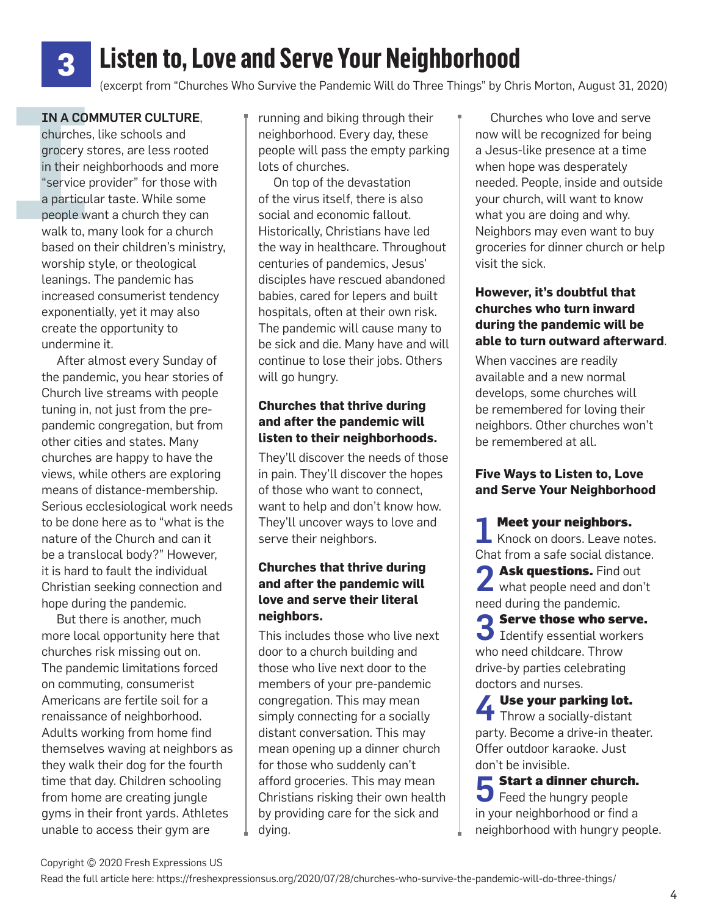## **Listen to, Love and Serve Your Neighborhood**

(excerpt from "Churches Who Survive the Pandemic Will do Three Things" by Chris Morton, August 31, 2020)

#### IN A COMMUTER CULTURE,

**3**

**IN A CON**<br>churches,<br>grocery s<br>in their ne<br>"service p<br>a particul<br>people wa<br>walk to, n churches, like schools and grocery stores, are less rooted in their neighborhoods and more "service provider" for those with a particular taste. While some people want a church they can walk to, many look for a church based on their children's ministry, worship style, or theological leanings. The pandemic has increased consumerist tendency exponentially, yet it may also create the opportunity to undermine it.

> After almost every Sunday of the pandemic, you hear stories of Church live streams with people tuning in, not just from the prepandemic congregation, but from other cities and states. Many churches are happy to have the views, while others are exploring means of distance-membership. Serious ecclesiological work needs to be done here as to "what is the nature of the Church and can it be a translocal body?" However, it is hard to fault the individual Christian seeking connection and hope during the pandemic.

> But there is another, much more local opportunity here that churches risk missing out on. The pandemic limitations forced on commuting, consumerist Americans are fertile soil for a renaissance of neighborhood. Adults working from home find themselves waving at neighbors as they walk their dog for the fourth time that day. Children schooling from home are creating jungle gyms in their front yards. Athletes unable to access their gym are

running and biking through their neighborhood. Every day, these people will pass the empty parking lots of churches.

On top of the devastation of the virus itself, there is also social and economic fallout. Historically, Christians have led the way in healthcare. Throughout centuries of pandemics, Jesus' disciples have rescued abandoned babies, cared for lepers and built hospitals, often at their own risk. The pandemic will cause many to be sick and die. Many have and will continue to lose their jobs. Others will go hungry.

#### **Churches that thrive during and after the pandemic will listen to their neighborhoods.**

They'll discover the needs of those in pain. They'll discover the hopes of those who want to connect, want to help and don't know how. They'll uncover ways to love and serve their neighbors.

#### **Churches that thrive during and after the pandemic will love and serve their literal neighbors.**

This includes those who live next door to a church building and those who live next door to the members of your pre-pandemic congregation. This may mean simply connecting for a socially distant conversation. This may mean opening up a dinner church for those who suddenly can't afford groceries. This may mean Christians risking their own health by providing care for the sick and dying.

Churches who love and serve now will be recognized for being a Jesus-like presence at a time when hope was desperately needed. People, inside and outside your church, will want to know what you are doing and why. Neighbors may even want to buy groceries for dinner church or help visit the sick.

#### **However, it's doubtful that churches who turn inward during the pandemic will be able to turn outward afterward**.

When vaccines are readily available and a new normal develops, some churches will be remembered for loving their neighbors. Other churches won't be remembered at all.

#### **Five Ways to Listen to, Love and Serve Your Neighborhood**

1 Meet your neighbors.<br>1 Knock on doors. Leave notes. Chat from a safe social distance.

**4 Ask questions.** Find out what people need and don't need during the pandemic.

3 Serve those who serve. Identify essential workers who need childcare. Throw drive-by parties celebrating doctors and nurses.

**4** Use your parking lot. Throw a socially-distant party. Become a drive-in theater. Offer outdoor karaoke. Just don't be invisible.

**5** Start a dinner church. Feed the hungry people in your neighborhood or find a neighborhood with hungry people.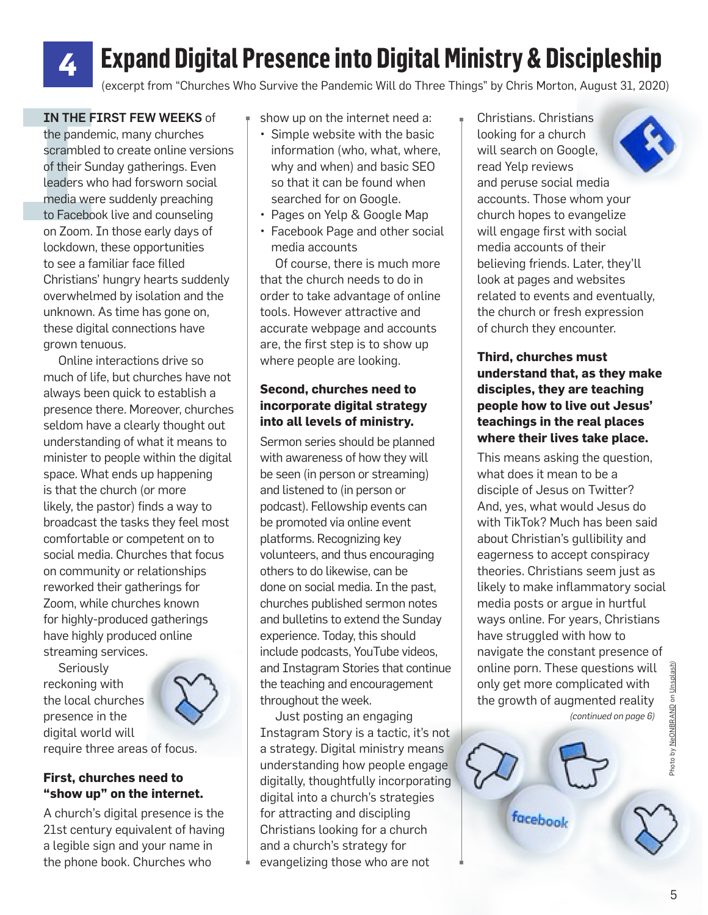## **Expand Digital Presence into Digital Ministry & Discipleship**

(excerpt from "Churches Who Survive the Pandemic Will do Three Things" by Chris Morton, August 31, 2020)

#### IN THE FIRST FEW WEEKS of

**4**

IN THE FIRST FEW WEEKS of<br>
the pandemic, many churches<br>
scrambled to create online versions<br>
of their Sunday gatherings. Even<br>
leaders who had forsworn social<br>
media were suddenly preaching<br>
to Facebook live and counseling the pandemic, many churches scrambled to create online versions of their Sunday gatherings. Even leaders who had forsworn social media were suddenly preaching to Facebook live and counseling on Zoom. In those early days of lockdown, these opportunities to see a familiar face filled Christians' hungry hearts suddenly overwhelmed by isolation and the unknown. As time has gone on, these digital connections have grown tenuous.

Online interactions drive so much of life, but churches have not always been quick to establish a presence there. Moreover, churches seldom have a clearly thought out understanding of what it means to minister to people within the digital space. What ends up happening is that the church (or more likely, the pastor) finds a way to broadcast the tasks they feel most comfortable or competent on to social media. Churches that focus on community or relationships reworked their gatherings for Zoom, while churches known for highly-produced gatherings have highly produced online streaming services.

Seriously reckoning with the local churches presence in the digital world will require three areas of focus.



A church's digital presence is the 21st century equivalent of having a legible sign and your name in the phone book. Churches who

- Simple website with the basic information (who, what, where, why and when) and basic SEO so that it can be found when searched for on Google.
- Pages on Yelp & Google Map
- Facebook Page and other social media accounts

Of course, there is much more that the church needs to do in order to take advantage of online tools. However attractive and accurate webpage and accounts are, the first step is to show up where people are looking.

#### **Second, churches need to incorporate digital strategy into all levels of ministry.**

Sermon series should be planned with awareness of how they will be seen (in person or streaming) and listened to (in person or podcast). Fellowship events can be promoted via online event platforms. Recognizing key volunteers, and thus encouraging others to do likewise, can be done on social media. In the past, churches published sermon notes and bulletins to extend the Sunday experience. Today, this should include podcasts, YouTube videos, and Instagram Stories that continue the teaching and encouragement throughout the week.

Just posting an engaging Instagram Story is a tactic, it's not a strategy. Digital ministry means understanding how people engage digitally, thoughtfully incorporating digital into a church's strategies for attracting and discipling Christians looking for a church and a church's strategy for evangelizing those who are not

Christians. Christians looking for a church will search on Google, read Yelp reviews and peruse social media accounts. Those whom your church hopes to evangelize will engage first with social media accounts of their believing friends. Later, they'll look at pages and websites related to events and eventually, the church or fresh expression of church they encounter.

#### **Third, churches must understand that, as they make disciples, they are teaching people how to live out Jesus' teachings in the real places where their lives take place.**

This means asking the question, what does it mean to be a disciple of Jesus on Twitter? And, yes, what would Jesus do with TikTok? Much has been said about Christian's gullibility and eagerness to accept conspiracy theories. Christians seem just as likely to make inflammatory social media posts or argue in hurtful ways online. For years, Christians have struggled with how to navigate the constant presence of online porn. These questions will only get more complicated with the growth of augmented reality *(continued on page 6)*